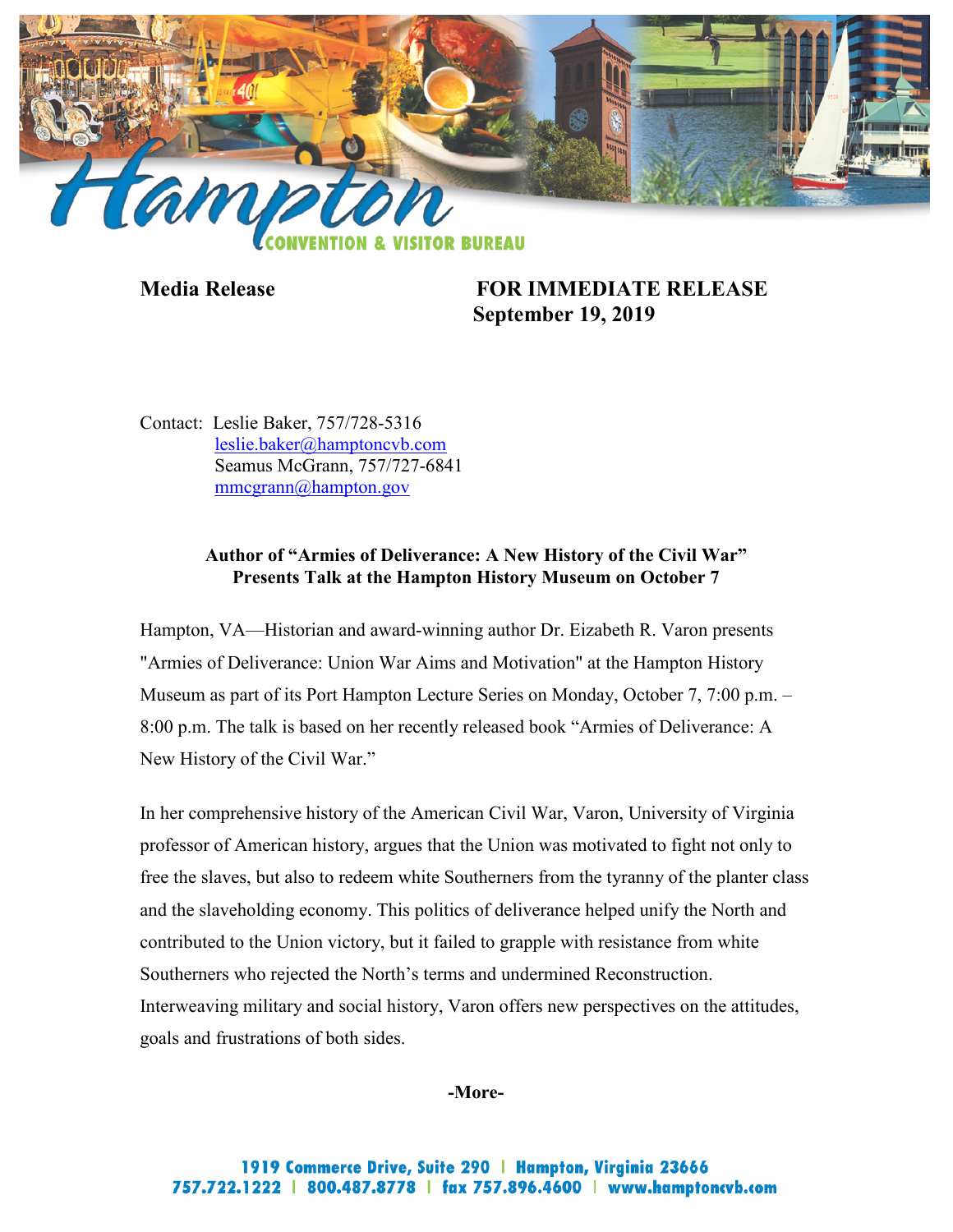

**Media Release FOR IMMEDIATE RELEASE September 19, 2019**

Contact: Leslie Baker, 757/728-5316 [leslie.baker@hamptoncvb.com](mailto:leslie.baker@hamptoncvb.com) Seamus McGrann, 757/727-6841 [mmcgrann@hampton.gov](mailto:mmcgrann@hampton.gov)

# **Author of "Armies of Deliverance: A New History of the Civil War" Presents Talk at the Hampton History Museum on October 7**

Hampton, VA—Historian and award-winning author Dr. Eizabeth R. Varon presents "Armies of Deliverance: Union War Aims and Motivation" at the Hampton History Museum as part of its Port Hampton Lecture Series on Monday, October 7, 7:00 p.m. – 8:00 p.m. The talk is based on her recently released book "Armies of Deliverance: A New History of the Civil War."

In her comprehensive history of the American Civil War, Varon, University of Virginia professor of American history, argues that the Union was motivated to fight not only to free the slaves, but also to redeem white Southerners from the tyranny of the planter class and the slaveholding economy. This politics of deliverance helped unify the North and contributed to the Union victory, but it failed to grapple with resistance from white Southerners who rejected the North's terms and undermined Reconstruction. Interweaving military and social history, Varon offers new perspectives on the attitudes, goals and frustrations of both sides.

## **-More-**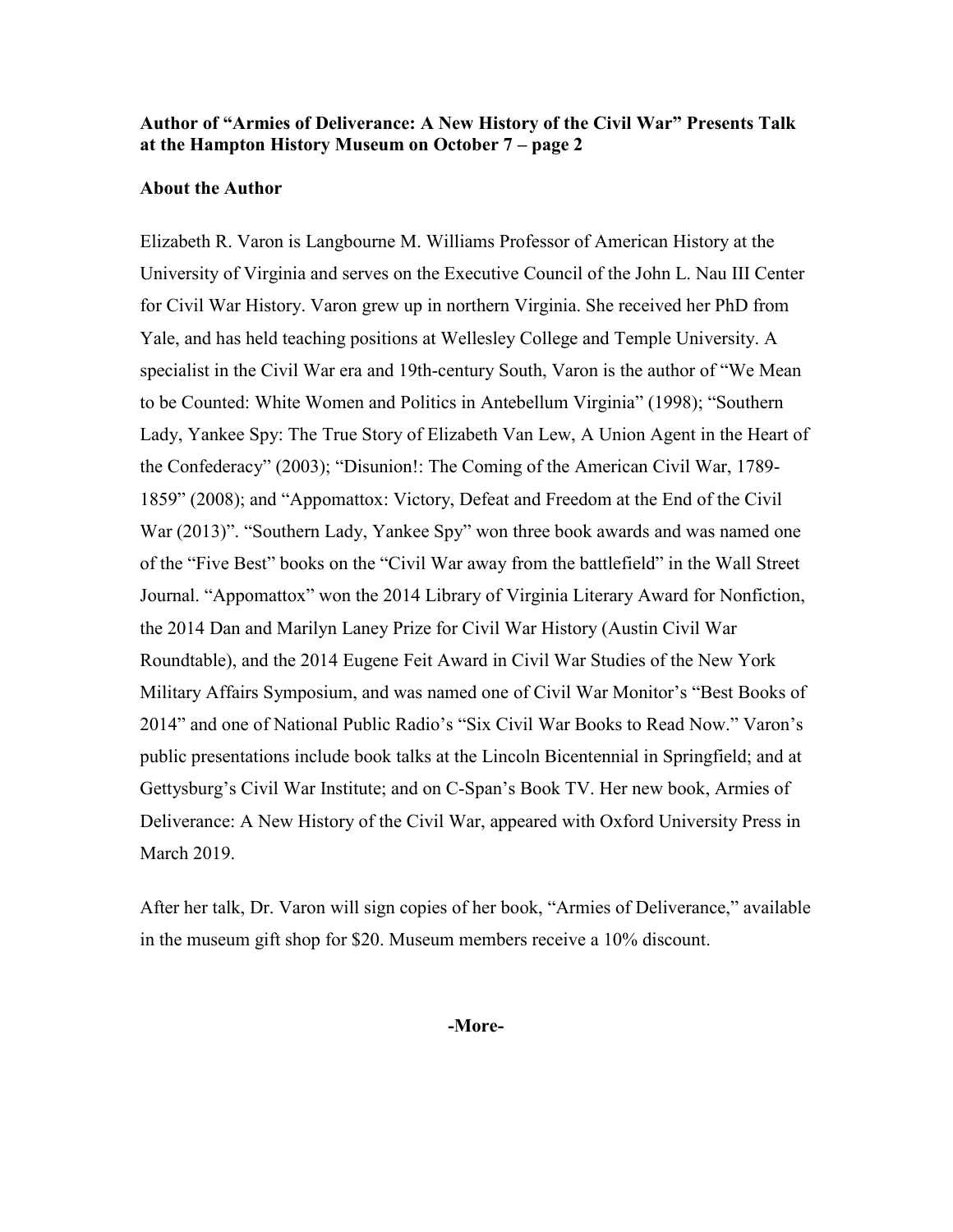# **Author of "Armies of Deliverance: A New History of the Civil War" Presents Talk at the Hampton History Museum on October 7 – page 2**

### **About the Author**

Elizabeth R. Varon is Langbourne M. Williams Professor of American History at the University of Virginia and serves on the Executive Council of the John L. Nau III Center for Civil War History. Varon grew up in northern Virginia. She received her PhD from Yale, and has held teaching positions at Wellesley College and Temple University. A specialist in the Civil War era and 19th-century South, Varon is the author of "We Mean to be Counted: White Women and Politics in Antebellum Virginia" (1998); "Southern Lady, Yankee Spy: The True Story of Elizabeth Van Lew, A Union Agent in the Heart of the Confederacy" (2003); "Disunion!: The Coming of the American Civil War, 1789- 1859" (2008); and "Appomattox: Victory, Defeat and Freedom at the End of the Civil War (2013)". "Southern Lady, Yankee Spy" won three book awards and was named one of the "Five Best" books on the "Civil War away from the battlefield" in the Wall Street Journal. "Appomattox" won the 2014 Library of Virginia Literary Award for Nonfiction, the 2014 Dan and Marilyn Laney Prize for Civil War History (Austin Civil War Roundtable), and the 2014 Eugene Feit Award in Civil War Studies of the New York Military Affairs Symposium, and was named one of Civil War Monitor's "Best Books of 2014" and one of National Public Radio's "Six Civil War Books to Read Now." Varon's public presentations include book talks at the Lincoln Bicentennial in Springfield; and at Gettysburg's Civil War Institute; and on C-Span's Book TV. Her new book, Armies of Deliverance: A New History of the Civil War, appeared with Oxford University Press in March 2019.

After her talk, Dr. Varon will sign copies of her book, "Armies of Deliverance," available in the museum gift shop for \$20. Museum members receive a 10% discount.

#### **-More-**